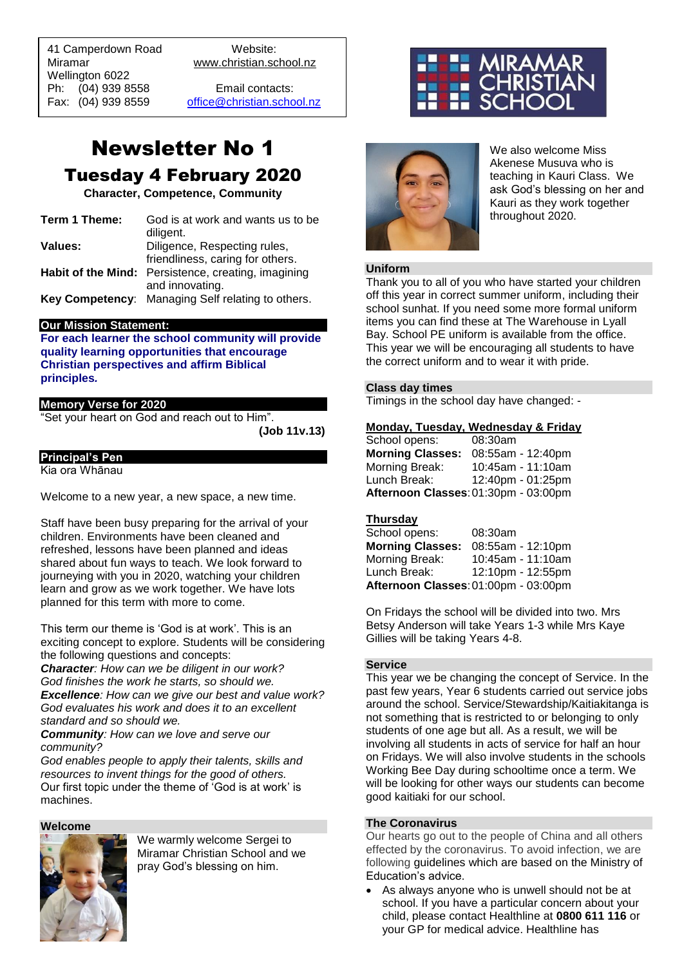41 Camperdown Road Website: Miramar www.christian.school.nz Wellington 6022 Ph: (04) 939 8558 Email contacts:

 $\overline{a}$ 

Fax: (04) 939 8559 [office@christian.school.nz](mailto:office@christian.school.nz)

## Newsletter No 1 Tuesday 4 February 2020

**Character, Competence, Community**

| Term 1 Theme: | God is at work and wants us to be<br>diligent.                                                             |
|---------------|------------------------------------------------------------------------------------------------------------|
| Values:       | Diligence, Respecting rules,                                                                               |
|               | friendliness, caring for others.<br>Habit of the Mind: Persistence, creating, imagining<br>and innovating. |
|               | Key Competency: Managing Self relating to others.                                                          |

#### **Our Mission Statement:**

**For each learner the school community will provide quality learning opportunities that encourage Christian perspectives and affirm Biblical principles***.*

#### **Memory Verse for 2020**

"Set your heart on God and reach out to Him".

**(Job 11v.13)**

#### **Principal's Pen**

Kia ora Whānau

Welcome to a new year, a new space, a new time.

Staff have been busy preparing for the arrival of your children. Environments have been cleaned and refreshed, lessons have been planned and ideas shared about fun ways to teach. We look forward to journeying with you in 2020, watching your children learn and grow as we work together. We have lots planned for this term with more to come.

This term our theme is 'God is at work'. This is an exciting concept to explore. Students will be considering the following questions and concepts:

*Character: How can we be diligent in our work? God finishes the work he starts, so should we. Excellence: How can we give our best and value work? God evaluates his work and does it to an excellent standard and so should we.* 

*Community: How can we love and serve our community?*

*God enables people to apply their talents, skills and resources to invent things for the good of others.* Our first topic under the theme of 'God is at work' is machines.

**Welcome**



We warmly welcome Sergei to Miramar Christian School and we pray God's blessing on him.





We also welcome Miss Akenese Musuva who is teaching in Kauri Class. We ask God's blessing on her and Kauri as they work together throughout 2020.

#### **Uniform**

Thank you to all of you who have started your children off this year in correct summer uniform, including their school sunhat. If you need some more formal uniform items you can find these at The Warehouse in Lyall Bay. School PE uniform is available from the office. This year we will be encouraging all students to have the correct uniform and to wear it with pride.

#### **Class day times**

Timings in the school day have changed: -

#### **Monday, Tuesday, Wednesday & Friday**

| School opens:           | 08:30am                              |
|-------------------------|--------------------------------------|
| <b>Morning Classes:</b> | 08:55am - 12:40pm                    |
| Morning Break:          | 10:45am - 11:10am                    |
| Lunch Break:            | 12:40pm - 01:25pm                    |
|                         | Afternoon Classes: 01:30pm - 03:00pm |

#### **Thursday**

| School opens:                        | 08:30am           |
|--------------------------------------|-------------------|
| <b>Morning Classes:</b>              | 08:55am - 12:10pm |
| Morning Break:                       | 10:45am - 11:10am |
| Lunch Break:                         | 12:10pm - 12:55pm |
| Afternoon Classes: 01:00pm - 03:00pm |                   |

On Fridays the school will be divided into two. Mrs Betsy Anderson will take Years 1-3 while Mrs Kaye Gillies will be taking Years 4-8.

#### **Service**

This year we be changing the concept of Service. In the past few years, Year 6 students carried out service jobs around the school. Service/Stewardship/Kaitiakitanga is not something that is restricted to or belonging to only students of one age but all. As a result, we will be involving all students in acts of service for half an hour on Fridays. We will also involve students in the schools Working Bee Day during schooltime once a term. We will be looking for other ways our students can become good kaitiaki for our school.

#### **The Coronavirus**

Our hearts go out to the people of China and all others effected by the coronavirus. To avoid infection, we are following guidelines which are based on the Ministry of Education's advice.

• As always anyone who is unwell should not be at school. If you have a particular concern about your child, please contact Healthline at **0800 611 116** or your GP for medical advice. Healthline has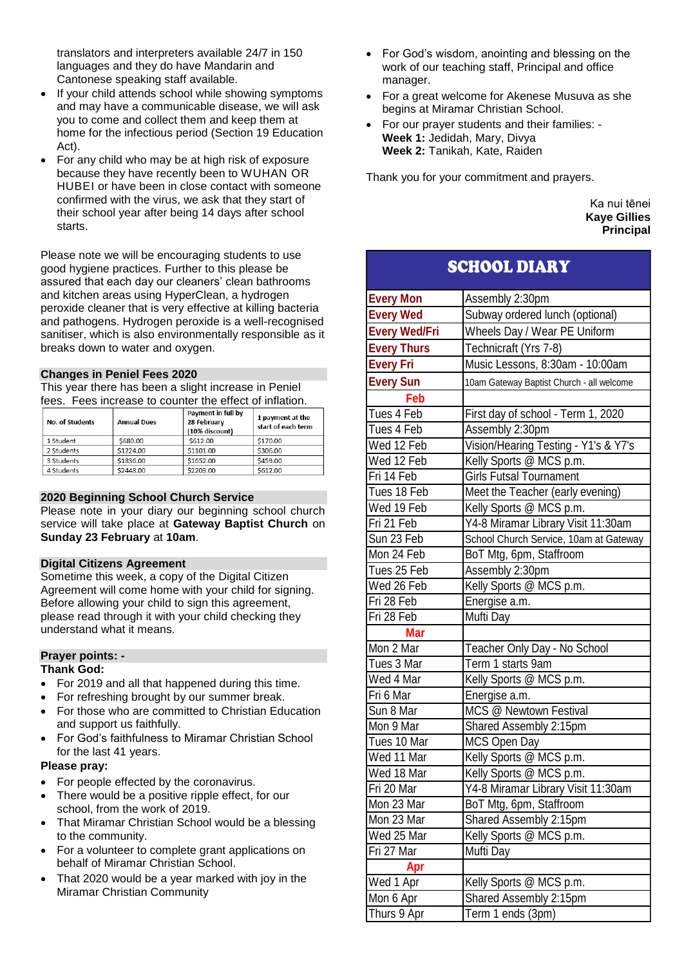translators and interpreters available 24/7 in 150 languages and they do have Mandarin and Cantonese speaking staff available.

- If your child attends school while showing symptoms and may have a communicable disease, we will ask you to come and collect them and keep them at home for the infectious period (Section 19 Education Act).
- For any child who may be at high risk of exposure because they have recently been to WUHAN OR HUBEI or have been in close contact with someone confirmed with the virus, we ask that they start of their school year after being 14 days after school starts.

Please note we will be encouraging students to use good hygiene practices. Further to this please be assured that each day our cleaners' clean bathrooms and kitchen areas using HyperClean, a hydrogen peroxide cleaner that is very effective at killing bacteria and pathogens. Hydrogen peroxide is a well-recognised sanitiser, which is also environmentally responsible as it breaks down to water and oxygen.

#### **Changes in Peniel Fees 2020**

This year there has been a slight increase in Peniel fees. Fees increase to counter the effect of inflation.

| <b>No. of Students</b> | <b>Annual Dues</b> | Payment in full by<br>28 February<br>(10% discount) | 1 payment at the<br>start of each term |
|------------------------|--------------------|-----------------------------------------------------|----------------------------------------|
| 1 Student              | \$680.00           | \$612.00                                            | \$170.00                               |
| 2 Students             | \$1224.00          | \$1101.00                                           | \$306.00                               |
| 3 Students             | \$1836.00          | \$1652.00                                           | \$459.00                               |
| 4 Students             | \$2448.00          | \$2203.00                                           | \$612.00                               |

#### **2020 Beginning School Church Service**

Please note in your diary our beginning school church service will take place at **Gateway Baptist Church** on **Sunday 23 February** at **10am**.

#### **Digital Citizens Agreement**

Sometime this week, a copy of the Digital Citizen Agreement will come home with your child for signing. Before allowing your child to sign this agreement, please read through it with your child checking they understand what it means.

#### **Prayer points: -**

#### **Thank God:**

- For 2019 and all that happened during this time.
- For refreshing brought by our summer break.
- For those who are committed to Christian Education and support us faithfully.
- For God's faithfulness to Miramar Christian School for the last 41 years.

#### **Please pray:**

- For people effected by the coronavirus.
- There would be a positive ripple effect, for our school, from the work of 2019.
- That Miramar Christian School would be a blessing to the community.
- For a volunteer to complete grant applications on behalf of Miramar Christian School.
- That 2020 would be a year marked with joy in the Miramar Christian Community
- For God's wisdom, anointing and blessing on the work of our teaching staff, Principal and office manager.
- For a great welcome for Akenese Musuva as she begins at Miramar Christian School.
- For our prayer students and their families: **Week 1:** Jedidah, Mary, Divya **Week 2:** Tanikah, Kate, Raiden

Thank you for your commitment and prayers.

Ka nui tēnei **Kaye Gillies Principal**

### SCHOOL DIARY

| <b>Every Mon</b>     | Assembly 2:30pm                           |  |  |
|----------------------|-------------------------------------------|--|--|
| <b>Every Wed</b>     | Subway ordered lunch (optional)           |  |  |
| <b>Every Wed/Fri</b> | Wheels Day / Wear PE Uniform              |  |  |
| <b>Every Thurs</b>   | Technicraft (Yrs 7-8)                     |  |  |
| <b>Every Fri</b>     | Music Lessons, 8:30am - 10:00am           |  |  |
| <b>Every Sun</b>     | 10am Gateway Baptist Church - all welcome |  |  |
| Feb                  |                                           |  |  |
| Tues 4 Feb           | First day of school - Term 1, 2020        |  |  |
| Tues 4 Feb           | Assembly 2:30pm                           |  |  |
| Wed 12 Feb           | Vision/Hearing Testing - Y1's & Y7's      |  |  |
| Wed 12 Feb           | Kelly Sports @ MCS p.m.                   |  |  |
| Fri 14 Feb           | <b>Girls Futsal Tournament</b>            |  |  |
| Tues 18 Feb          | Meet the Teacher (early evening)          |  |  |
| Wed 19 Feb           | Kelly Sports @ MCS p.m.                   |  |  |
| Fri 21 Feb           | Y4-8 Miramar Library Visit 11:30am        |  |  |
| Sun 23 Feb           | School Church Service, 10am at Gateway    |  |  |
| Mon 24 Feb           | BoT Mtg, 6pm, Staffroom                   |  |  |
| Tues 25 Feb          | Assembly 2:30pm                           |  |  |
| Wed 26 Feb           | Kelly Sports @ MCS p.m.                   |  |  |
| Fri 28 Feb           | Energise a.m.                             |  |  |
| Fri 28 Feb           | Mufti Day                                 |  |  |
| Mar                  |                                           |  |  |
| Mon 2 Mar            | Teacher Only Day - No School              |  |  |
| Tues 3 Mar           | Term 1 starts 9am                         |  |  |
| Wed 4 Mar            | Kelly Sports @ MCS p.m.                   |  |  |
| Fri 6 Mar            | Energise a.m.                             |  |  |
| Sun 8 Mar            | MCS @ Newtown Festival                    |  |  |
| Mon 9 Mar            | Shared Assembly 2:15pm                    |  |  |
| Tues 10 Mar          | <b>MCS Open Day</b>                       |  |  |
| Wed 11 Mar           | Kelly Sports @ MCS p.m.                   |  |  |
| Wed 18 Mar           | Kelly Sports @ MCS p.m.                   |  |  |
| Fri 20 Mar           | Y4-8 Miramar Library Visit 11:30am        |  |  |
| Mon 23 Mar           | BoT Mtg, 6pm, Staffroom                   |  |  |
| Mon 23 Mar           | Shared Assembly 2:15pm                    |  |  |
| Wed 25 Mar           | Kelly Sports @ MCS p.m.                   |  |  |
| Fri 27 Mar           | Mufti Day                                 |  |  |
| Apr                  |                                           |  |  |
| Wed 1 Apr            | Kelly Sports @ MCS p.m.                   |  |  |
| Mon 6 Apr            | Shared Assembly 2:15pm                    |  |  |
| Thurs 9 Apr          | Term 1 ends (3pm)                         |  |  |